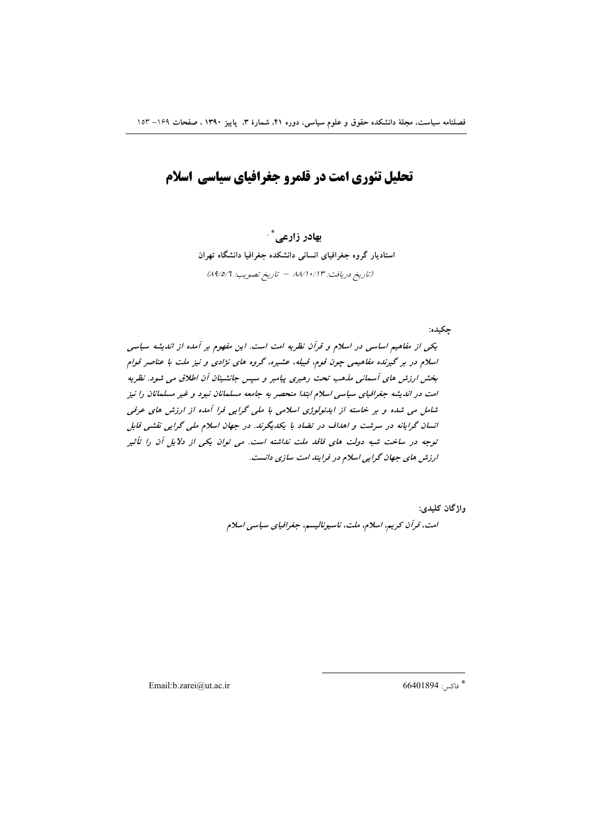# تحلیل تئوری امت در قلمرو جغرافیای سیاسی اسلام

بهادر زارعي \* استادیار گروه جغرافیای انسانی دانشکده جغرافیا دانشگاه تهران (تاريخ دريافت: ٨٨/١٠/١٣ - تاريخ تصويب: ٨٩/٥/٦)

چکیده: یکی از مفاهیم اساسی در اسلام و قرآن نظریه امت است. این مفهوم بر آمده از اندیشه سیاسی اسلام در بر گیرنده مفاهیمی چون قوم، قبیله، عشیره، گروه های نژادی و نیز ملت با عناصر قوام بخش ارزش های آسمانی مذهب تحت رهبری پیامبر و سپس جانشینان آن اطلاق می شود. نظریه امت در اندیشه جغرافیای سیاسی اسلام ابتدا منحصر به جامعه مسلمانان نبود و غیر مسلمانان را نیز شامل می شده و بر خاسته از ایدئولوژی اسلامی با ملی گرایی فرا آمده از ارزش های عرفی انسان گرایانه در سرشت و اهداف در تضاد با یکدیگرند. در جهان اسلام ملی گرایی نقشی قابل توجه در ساخت شبه دولت های فاقد ملت نداشته است. می توان یکی از دلایل آن را تأثیر ارزش های جهان گرایی اسلام در فرایند امت سازی دانست.

> واژگان کليدي: امت، قرآن كريم، اسلام، ملت، ناسيوناليسم، جغرافياي سياسي اسلام

Email:b.zarei@ut.ac.ir

 $66401894:$ فاكس: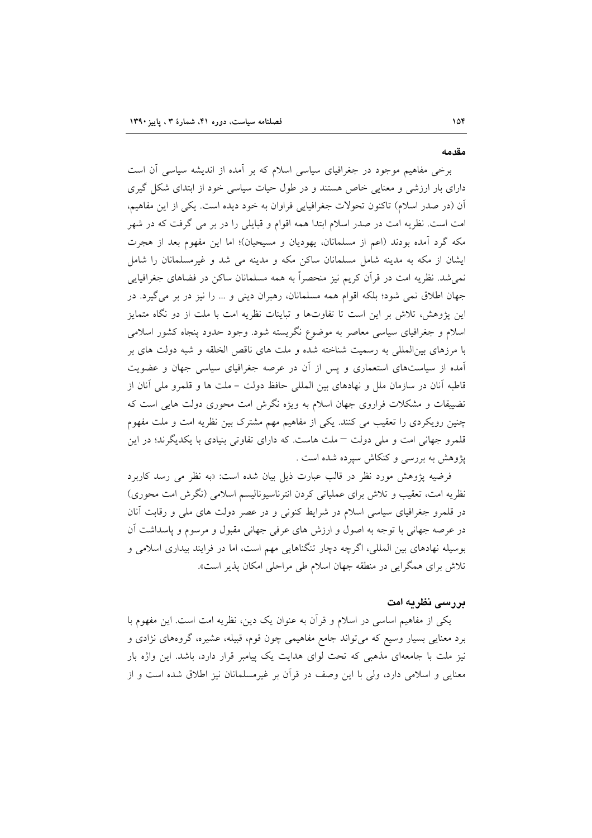#### مقدمه

برخی مفاهیم موجود در جغرافیای سیاسی اسلام که بر آمده از اندیشه سیاسی آن است دارای بار ارزشی و معنایی خاص هستند و در طول حیات سیاسی خود از ابتدای شکل گیری آن (در صدر اسلام) تاکنون تحولات جغرافیایی فراوان به خود دیده است. یکی از این مفاهیم، امت است. نظریه امت در صدر اسلام ابتدا همه اقوام و قبایلی را در بر می گرفت که در شهر مکه گرد آمده بودند (اعم از مسلمانان، یهودیان و مسیحیان)؛ اما این مفهوم بعد از هجرت ایشان از مکه به مدینه شامل مسلمانان ساکن مکه و مدینه می شد و غیرمسلمانان را شامل نمی شد. نظریه امت در قرآن کریم نیز منحصراً به همه مسلمانان ساکن در فضاهای جغرافیایی جهان اطلاق نمی شود؛ بلکه اقوام همه مسلمانان، رهبران دینی و ... را نیز در بر می گیرد. در این پژوهش، تلاش بر این است تا تفاوتها و تباینات نظریه امت با ملت از دو نگاه متمایز اسلام و جغرافیای سیاسی معاصر به موضوع نگریسته شود. وجود حدود پنجاه کشور اسلامی با مرزهای بین|لمللی به رسمیت شناخته شده و ملت های ناقص الخلقه و شبه دولت های بر آمده از سیاستهای استعماری و پس از آن در عرصه جغرافیای سیاسی جهان و عضویت قاطبه آنان در سازمان ملل و نهادهای بین المللی حافظ دولت – ملت ها و قلمرو ملی آنان از تضییقات و مشکلات فراروی جهان اسلام به ویژه نگرش امت محوری دولت هایی است که چنین رویکردی را تعقیب می کنند. یکی از مفاهیم مهم مشترک بین نظریه امت و ملت مفهوم قلمرو جهانی امت و ملی دولت – ملت هاست. که دارای تفاوتی بنیادی با یکدیگرند؛ در این پژوهش به بررسی و کنکاش سپرده شده است .

فرضیه پژوهش مورد نظر در قالب عبارت ذیل بیان شده است: «به نظر می رسد کاربرد نظریه امت، تعقیب و تلاش برای عملیاتی کردن انترناسیونالیسم اسلامی (نگرش امت محوری) در قلمرو جغرافیای سیاسی اسلام در شرایط کنونی و در عصر دولت های ملی و رقابت آنان در عرصه جهاني با توجه به اصول و ارزش هاي عرفي جهاني مقبول و مرسوم و پاسداشت آن بوسیله نهادهای بین المللی، اگرچه دچار تنگناهایی مهم است، اما در فرایند بیداری اسلامی و تلاش برای همگرایی در منطقه جهان اسلام طی مراحلی امکان پذیر است».

#### بررسی نظریه امت

یکی از مفاهیم اساسی در اسلام و قرأن به عنوان یک دین، نظریه امت است. این مفهوم با برد معنایی بسیار وسیع که می تواند جامع مفاهیمی چون قوم، قبیله، عشیره، گروههای نژادی و نیز ملت با جامعهای مذهبی که تحت لوای هدایت یک پیامبر قرار دارد، باشد. این واژه بار معنایی و اسلامی دارد، ولی با این وصف در قرآن بر غیرمسلمانان نیز اطلاق شده است و از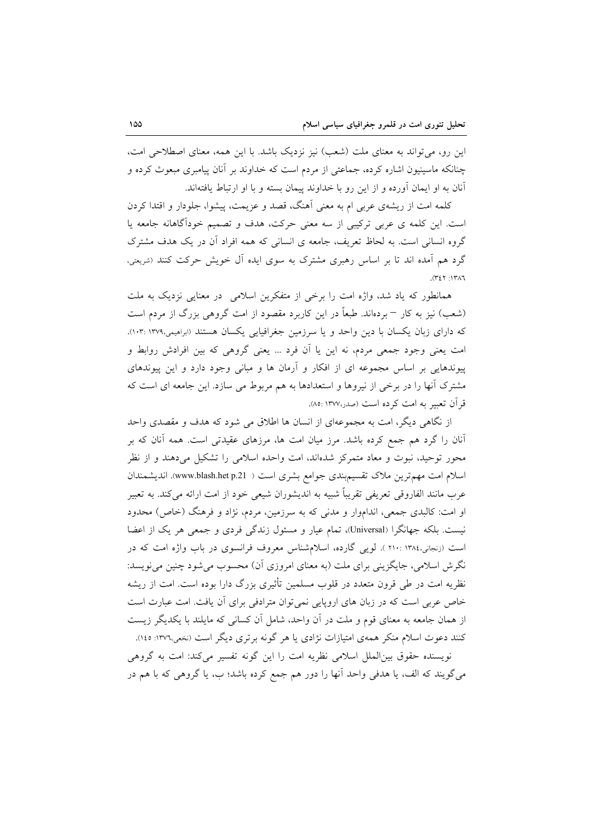این رو، می تواند به معنای ملت (شعب) نیز نزدیک باشد. با این همه، معنای اصطلاحی امت، چنانکه ماسینیون اشاره کرده، جماعتی از مردم است که خداوند بر آنان پیامبری مبعوث کرده و آنان به او ایمان آورده و از این رو با خداوند پیمان بسته و با او ارتباط یافتهاند.

کلمه امت از ریشهی عربی ام به معنی آهنگ، قصد و عزیمت، پیشوا، جلودار و اقتدا کردن است. این کلمه ی عربی ترکیبی از سه معنی حرکت، هدف و تصمیم خودآگاهانه جامعه یا گروه انسانی است. به لحاظ تعریف، جامعه ی انسانی که همه افراد آن در یک هدف مشترک گرد هم آمده اند تا بر اساس رهبری مشترک به سوی ایده آل خویش حرکت کنند (شریعتی،  $(727:177)$ 

همانطور که یاد شد، واژه امت را برخی از متفکرین اسلامی در معنایی نزدیک به ملت (شعب) نیز به کار – بردهاند. طبعاً در این کاربرد مقصود از امت گروهی بزرگ از مردم است که دارای زبان یکسان با دین واحد و یا سرزمین جغرافیایی یکسان هستند (ابراهیمی،۱۰۳۹ :۱۰۳). امت یعنی وجود جمعی مردم، نه این یا اَن فرد … یعنی گروهی که بین افرادش روابط و پیوندهایی بر اساس مجموعه ای از افکار و آرمان ها و مبانی وجود دارد و این پیوندهای مشترک آنها را در برخی از نیروها و استعدادها به هم مربوط می سازد. این جامعه ای است که قر آن تعبير به امت كرده است (صدر،١٣٧٧ :٨٥).

از نگاهی دیگر، امت به مجموعهای از انسان ها اطلاق می شود که هدف و مقصدی واحد آنان را گرد هم جمع کرده باشد. مرز میان امت ها، مرزهای عقیدتی است. همه آنان که بر محور توحید، نبوت و معاد متمرکز شدهاند، امت واحده اسلامی را تشکیل میدهند و از نظر اسلام امت مهم ترین ملاک تقسیم بندی جوامع بشری است ( www.blash.het p.21). اندیشمندان عرب مانند الفاروقی تعریفی تقریباً شبیه به اندیشوران شیعی خود از امت ارائه میکند. به تعبیر او امت: کالبدی جمعی، انداموار و مدنی که به سرزمین، مردم، نژاد و فرهنگ (خاص) محدود نیست. بلکه جهانگرا (Universal)، تمام عیار و مسئول زندگی فردی و جمعی هر یک از اعضا است (زنجانی،۱۳۸٤ : ۲۱۰). لویی گارده، اسلام شناس معروف فرانسوی در باب واژه امت که در نگرش اسلامی، جایگزینی برای ملت (به معنای امروزی آن) محسوب می شود چنین می نویسد: نظریه امت در طی قرون متعدد در قلوب مسلمین تأثیری بزرگ دارا بوده است. امت از ریشه خاص عربی است که در زبان های اروپایی نمی توان مترادفی برای آن یافت. امت عبارت است از همان جامعه به معنای قوم و ملت در آن واحد، شامل آن کسانی که مایلند با یکدیگر زیست کنند دعوت اسلام منکر همهی امتیازات نژادی یا هر گونه برتری دیگر است (نخعی،۱۳۷٦: ۱٤٥).

نویسنده حقوق بین|لملل اسلامی نظریه امت را این گونه تفسیر میکند: امت به گروهی می گویند که الف، یا هدفی واحد آنها را دور هم جمع کرده باشد؛ ب، یا گروهی که با هم در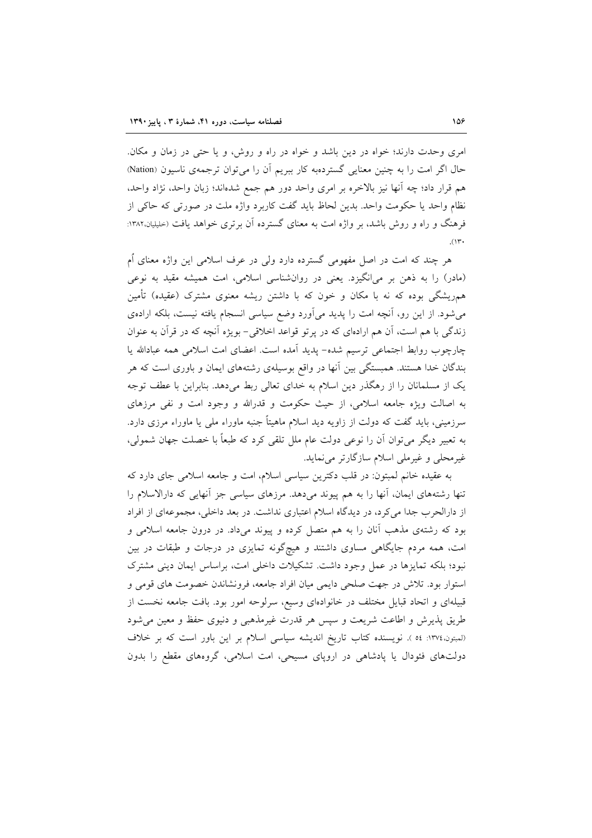امري وحدت دارند؛ خواه در دين باشد و خواه در راه و روش، و يا حتى در زمان و مكان. حال اگر امت را به چنین معنایی گستردهبه کار ببریم آن را می توان ترجمهی ناسیون (Nation) هم قرار داد؛ چه آنها نیز بالاخره بر امری واحد دور هم جمع شدهاند؛ زبان واحد، نژاد واحد، نظام واحد یا حکومت واحد. بدین لحاظ باید گفت کاربرد واژه ملت در صورتی که حاکی از فرهنگ و راه و روش باشد، بر واژه امت به معنای گسترده آن برتری خواهد یافت (حلیلیان،۱۳۸۲:  $.$ (۱۳۰

هر چند که امت در اصل مفهومی گسترده دارد ولی در عرف اسلامی این واژه معنای اُم (مادر) را به ذهن بر میانگیزد. یعنی در روانشناسی اسلامی، امت همیشه مقید به نوعی هم٫یشگی بوده که نه با مکان و خون که با داشتن ریشه معنوی مشترک (عقیده) تأمین می شود. از این رو، آنچه امت را پدید میآورد وضع سیاسی انسجام یافته نیست، بلکه ارادهی زندگی با هم است، آن هم ارادهای که در یرتو قواعد اخلاقی- بویژه آنچه که در قرآن به عنوان چارچوب روابط اجتماعی ترسیم شده- پدید آمده است. اعضای امت اسلامی همه عبادالله یا بندگان خدا هستند. همبستگی بین آنها در واقع بوسیلهی رشتههای ایمان و باوری است که هر یک از مسلمانان را از رهگذر دین اسلام به خدای تعالی ربط میدهد. بنابراین با عطف توجه به اصالت ویژه جامعه اسلامی، از حیث حکومت و قدرالله و وجود امت و نفی مرزهای سرزمینی، باید گفت که دولت از زاویه دید اسلام ماهیتاً جنبه ماوراء ملی یا ماوراء مرزی دارد. به تعبیر دیگر می توان آن را نوعی دولت عام ملل تلقی کرد که طبعاً با خصلت جهان شمولی، غیرمحلی و غیرملی اسلام سازگارتر می نماید.

به عقیده خانم لمبتون: در قلب دکترین سیاسی اسلام، امت و جامعه اسلامی جای دارد که تنها رشتههای ایمان، أنها را به هم پیوند میدهد. مرزهای سیاسی جز أنهایی که دارالاسلام را از دارالحرب جدا می کرد، در دیدگاه اسلام اعتباری نداشت. در بعد داخلی، مجموعهای از افراد بود که رشتهی مذهب آنان را به هم متصل کرده و پیوند میداد. در درون جامعه اسلامی و امت، همه مردم جایگاهی مساوی داشتند و هیچگونه تمایزی در درجات و طبقات در بین نبود؛ بلکه تمایزها در عمل وجود داشت. تشکیلات داخلی امت، براساس ایمان دینی مشترک استوار بود. تلاش در جهت صلحی دایمی میان افراد جامعه، فرونشاندن خصومت های قومی و قبیلهای و اتحاد قبایل مختلف در خانوادهای وسیع، سرلوحه امور بود. بافت جامعه نخست از طریق پذیرش و اطاعت شریعت و سپس هر قدرت غیرمذهبی و دنیوی حفظ و معین می شود (لمبتون،١٣٧٤: ٥٤ ). نويسنده كتاب تاريخ انديشه سياسي اسلام بر اين باور است كه بر خلاف دولتهای فئودال یا پادشاهی در اروپای مسیحی، امت اسلامی، گروههای مقطع را بدون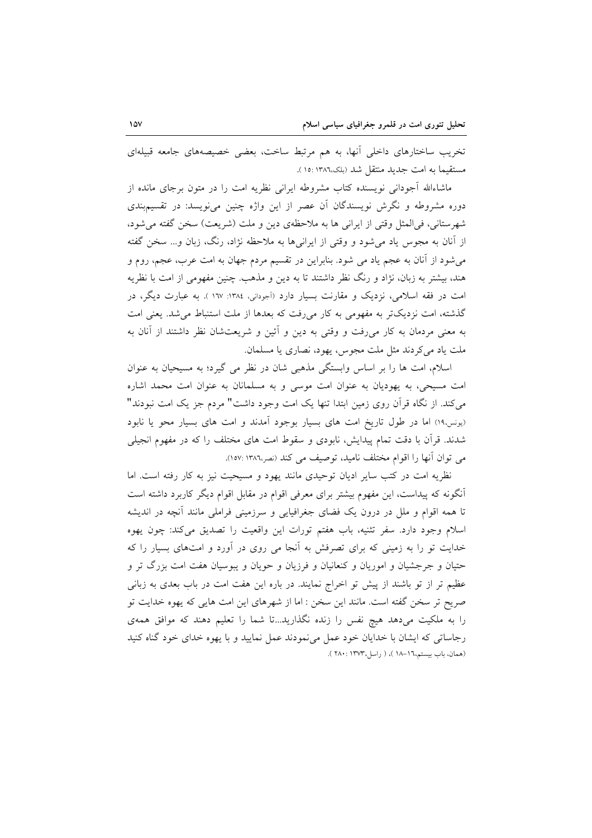تخریب ساختارهای داخلی آنها، به هم مرتبط ساخت، بعضی خصیصههای جامعه قبیلهای مستقيماً به امت جديد منتقل شد (بلک،١٣٨٦ :١٥).

ماشاءالله أجوداني نويسنده كتاب مشروطه ايراني نظريه امت را در متون برجاى مانده از دوره مشروطه و نگرش نویسندگان آن عصر از این واژه چنین می نویسد: در تقسیم بندی شهرستاني، في المثل وقتي از ايراني ها به ملاحظهي دين و ملت (شريعت) سخن گفته مي شود، از آنان به مجوس یاد میشود و وقتی از ایرانیها به ملاحظه نژاد، رنگ، زبان و… سخن گفته میشود از آنان به عجم یاد می شود. بنابراین در تقسیم مردم جهان به امت عرب، عجم، روم و هند، بیشتر به زبان، نژاد و رنگ نظر داشتند تا به دین و مذهب. چنین مفهومی از امت با نظریه امت در فقه اسلامی، نزدیک و مقارنت بسیار دارد (اَجودانی، ۱۳۸٤: ۱۷۷). به عبارت دیگر، در گذشته، امت نزدیکتر به مفهومی به کار میرفت که بعدها از ملت استنباط می شد. یعنی امت به معنی مردمان به کار میروفت و وقتی به دین و آئین و شریعتشان نظر داشتند از آنان به ملت یاد میکردند مثل ملت مجوس، یهود، نصاری یا مسلمان.

اسلام، امت ها را بر اساس وابستگی مذهبی شان در نظر می گیرد؛ به مسیحیان به عنوان امت مسیحی، به یهودیان به عنوان امت موسی و به مسلمانان به عنوان امت محمد اشاره می کند. از نگاه قرآن روی زمین ابتدا تنها یک امت وجود داشت" مردم جز یک امت نبودند" (یونس،١٩) اما در طول تاریخ امت های بسیار بوجود آمدند و امت های بسیار محو یا نابود شدند. قرأن با دقت تمام پیدایش، نابودی و سقوط امت های مختلف را که در مفهوم انجیلی می توان آنها را اقوام مختلف نامید، توصیف می کند (نصر،۱۳۸٦ :۱۵۷).

نظریه امت در کتب سایر ادیان توحیدی مانند یهود و مسیحیت نیز به کار رفته است. اما أنگونه که پیداست، این مفهوم بیشتر برای معرفی اقوام در مقابل اقوام دیگر کاربرد داشته است تا همه اقوام و ملل در درون یک فضای جغرافیایی و سرزمینی فراملی مانند آنچه در اندیشه اسلام وجود دارد. سفر تثنيه، باب هفتم تورات اين واقعيت را تصديق مى كند: چون يهوه خدایت تو را به زمینی که برای تصرفش به آنجا می روی در آورد و امتهای بسیار را که حتیان و جرجشیان و اموریان و کنعانیان و فرزیان و حویان و یبوسیان هفت امت بزرگ تر و عظیم تر از تو باشند از پیش تو اخراج نمایند. در باره این هفت امت در باب بعدی به زبانی صریح تر سخن گفته است. مانند این سخن : اما از شهرهای این امت هایی که یهوه خدایت تو را به ملکیت میدهد هیچ نفس را زنده نگذارید...تا شما را تعلیم دهند که موافق همهی رجاساتی که ایشان با خدایان خود عمل می نمودند عمل نمایید و با یهوه خدای خود گناه کنید (همان، باب بیستم،١٦-١٨ )، ( راسل،١٣٧٣ : ٢٨٠ ).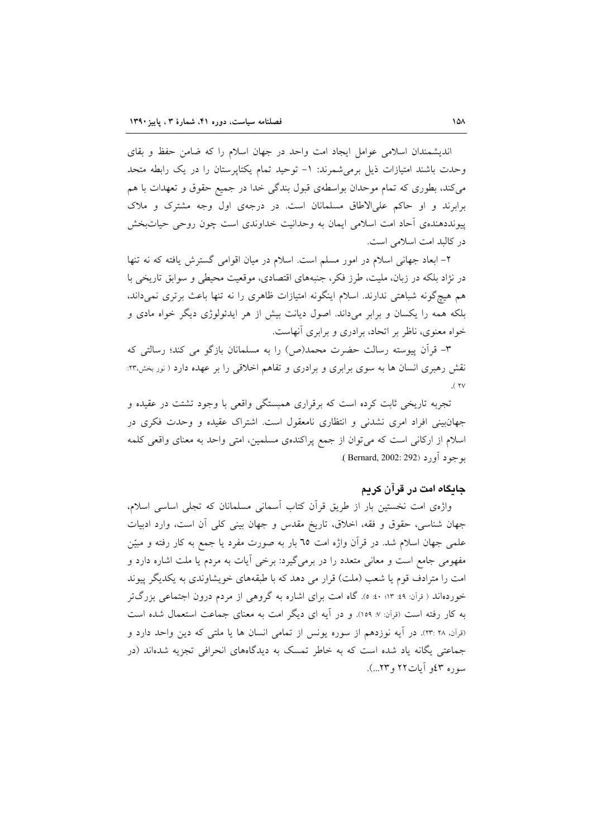اندیشمندان اسلامی عوامل ایجاد امت واحد در جهان اسلام را که ضامن حفظ و بقای وحدت باشند امتیازات ذیل برمی شمرند: ١- توحید تمام یکتاپرستان را در یک رابطه متحد می کند، بطوری که تمام موحدان بواسطهی قبول بندگی خدا در جمیع حقوق و تعهدات با هم برابرند و او حاکم علی الاطاق مسلمانان است. در درجهی اول وجه مشترک و ملاک پیونددهندهی اّحاد امت اسلامی ایمان به وحدانیت خداوندی است چون روحی حیاتبخش در کالبد امت اسلامی است.

۲- ابعاد جهانی اسلام در امور مسلم است. اسلام در میان اقوامی گسترش یافته که نه تنها در نژاد بلکه در زبان، ملیت، طرز فکر، جنبههای اقتصادی، موقعیت محیطی و سوابق تاریخی با هم هیچگونه شباهتی ندارند. اسلام اینگونه امتیازات ظاهری را نه تنها باعث برتری نمیداند، بلکه همه را یکسان و برابر میداند. اصول دیانت بیش از هر ایدئولوژی دیگر خواه مادی و خواه معنوی، ناظر بر اتحاد، برادری و برابری آنهاست.

٣- قرآن پیوسته رسالت حضرت محمد(ص) را به مسلمانان بازگو می کند؛ رسالتی که نقش رهبری انسان ها به سوی برابری و برادری و تفاهم اخلاقی را بر عهده دارد ( نور بخش،۲۳:  $($  YV

تجربه تاریخی ثابت کرده است که برقراری همبستگی واقعی با وجود تشتت در عقیده و جهانبینی افراد امری نشدنی و انتظاری نامعقول است. اشتراک عقیده و وحدت فکری در اسلام از اركاني است كه مي توان از جمع پراكندهي مسلمين، امتى واحد به معناي واقعي كلمه بو جو د آور د (Bernard, 2002: 292).

### جایگاه امت در قرآن کریم

واژهی امت نخستین بار از طریق قرآن کتاب آسمانی مسلمانان که تجلی اساسی اسلام، جهان شناسی، حقوق و فقه، اخلاق، تاریخ مقدس و جهان بینی کلی آن است، وارد ادبیات علمی جهان اسلام شد. در قرأن واژه امت ٦٥ بار به صورت مفرد یا جمع به کار رفته و مبیّن مفهومی جامع است و معانی متعدد را در برمی گیرد: برخی آیات به مردم یا ملت اشاره دارد و امت را مترادف قوم یا شعب (ملت) قرار می دهد که با طبقههای خویشاوندی به یکدیگر پیوند خوردهاند ( قرآن: ۹۹: ۹۲: ۵۰: ۵). گاه امت برای اشاره به گروهی از مردم درون اجتماعی بزرگتر به کار رفته است (قرآن: ۷: ۱۵۹). و در آیه ای دیگر امت به معنای جماعت استعمال شده است (قرآن، ۲۸ :۲۳). در آيه نوزدهم از سوره يونس از تمامي انسان ها يا ملتي كه دين واحد دارد و جماعتی یگانه یاد شده است که به خاطر تمسک به دیدگاههای انحرافی تجزیه شدهاند (در سوره ٤٣ آيات٢٢ و٢٣...).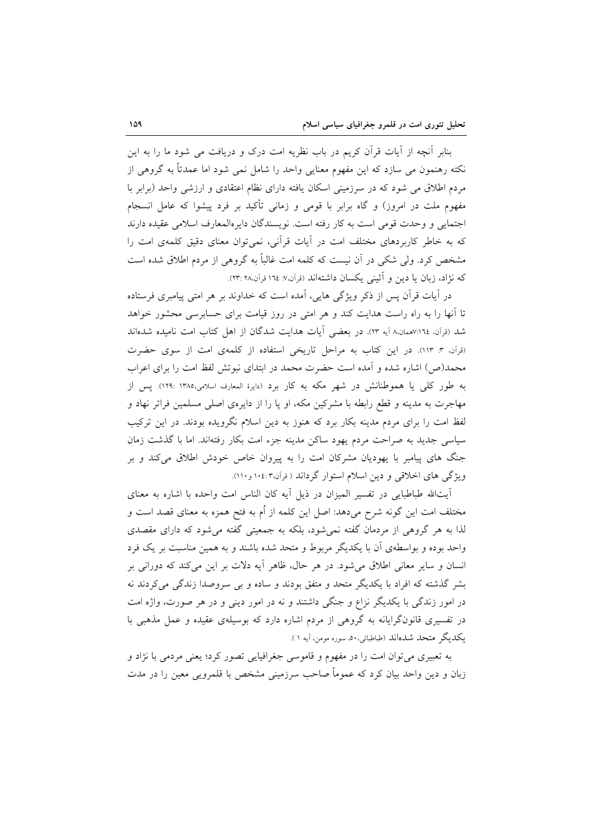بنابر آنچه از آیات قرآن کریم در باب نظریه امت درک و دریافت می شود ما را به این نکته رهنمون می سازد که این مفهوم معنایی واحد را شامل نمی شود اما عمدتاً به گروهی از مردم اطلاق می شود که در سرزمینی اسکان یافته دارای نظام اعتقادی و ارزشی واحد (برابر با مفهوم ملت در امروز) و گاه برابر با قومی و زمانی تأکید بر فرد پیشوا که عامل انسجام اجتمايي و وحدت قومي است به كار رفته است. نويسندگان داير االمعارف اسلامي عقيده دارند که به خاطر کاربردهای مختلف امت در آیات قرآنی، نمیتوان معنای دقیق کلمهی امت را مشخص کرد. ولی شکی در آن نیست که کلمه امت غالباً به گروهی از مردم اطلاق شده است كه نژاد، زبان يا دين و آئيني يكسان داشتهاند (قرآن.٧: ١٦٤ قرآن.٢٣: ٢٣:

در آیات قرآن پس از ذکر ویژگی هایی، آمده است که خداوند بر هر امتی پیامبری فرستاده تا آنها را به راه راست هدایت کند و هر امتی در روز قیامت برای حسابرسی محشور خواهد شد (قرآن، ١٦٤٪همان.٨ آيه ٢٣). در بعضي آيات هدايت شدگان از اهل كتاب امت ناميده شدهاند (قرآن، ٣: ١١٣). در اين كتاب به مراحل تاريخي استفاده از كلمهي امت از سوى حضرت محمد(ص) اشاره شده و آمده است حضرت محمد در ابتدای نبوتش لفظ امت را برای اعراب به طور کلی یا هموطنانش در شهر مکه به کار برد (دایرهٔ المعارف اسلامی،۱۳۸۵ :۱۲۹). پس از مهاجرت به مدینه و قطع رابطه با مشرکین مکه، او پا را از دایرهی اصلی مسلمین فراتر نهاد و لفظ امت را برای مردم مدینه بکار برد که هنوز به دین اسلام نگرویده بودند. در این ترکیب سیاسی جدید به صراحت مردم یهود ساکن مدینه جزء امت بکار رفتهاند. اما با گذشت زمان جنگ های پیامبر با یهودیان مشرکان امت را به پیروان خاص خودش اطلاق میکند و بر ویژگی های اخلاقی و دین اسلام استوار گرداند ( قرآن،۱۰٤:۳ و ۱۱۰).

أيتالله طباطبايي در تفسير الميزان در ذيل أيه كان الناس امت واحده با اشاره به معناي مختلف امت این گونه شرح میدهد: اصل این کلمه از اُم به فتح همزه به معنای قصد است و لذا به هر گروهی از مردمان گفته نمی شود، بلکه به جمعیتی گفته می شود که دارای مقصدی واحد بوده و بواسطهی آن با یکدیگر مربوط و متحد شده باشند و به همین مناسبت بر یک فرد انسان و سایر معانی اطلاق میشود. در هر حال، ظاهر آیه دلات بر این میکند که دورانی بر بشر گذشته که افراد با یکدیگر متحد و متفق بودند و ساده و بی سروصدا زندگی می کردند نه در امور زندگی با یکدیگر نزاع و جنگی داشتند و نه در امور دینی و در هر صورت، واژه امت در تفسیری قانونگرایانه به گروهی از مردم اشاره دارد که بوسیلهی عقیده و عمل مذهبی با يكديگر متحد شدهاند (طباطبائي،٥٠، سوره مومن، آيه ١).

به تعبیری میتوان امت را در مفهوم و قاموسی جغرافیایی تصور کرد؛ یعنی مردمی با نژاد و زبان و دین واحد بیان کرد که عموماً صاحب سرزمینی مشخص با قلمرویی معین را در مدت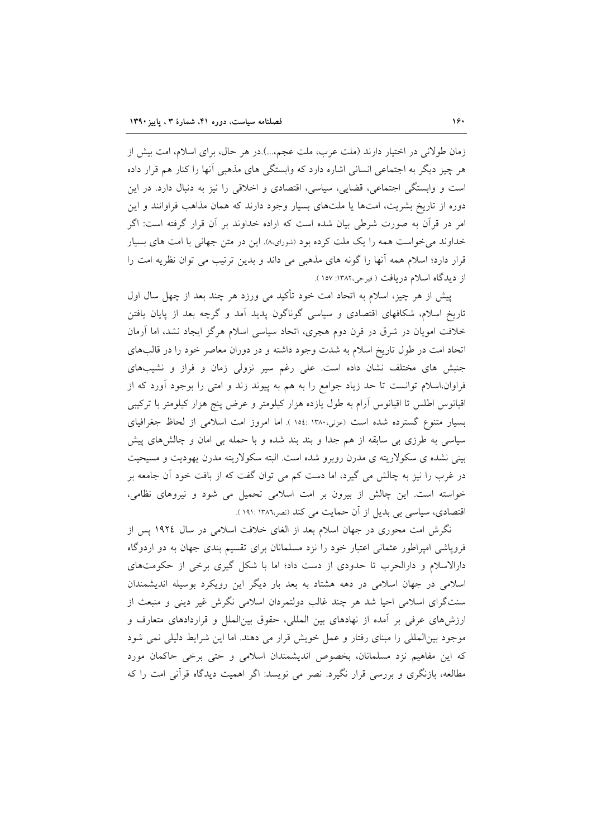زمان طولانی در اختیار دارند (ملت عرب، ملت عجم...).در هر حال، برای اسلام، امت بیش از هر چیز دیگر به اجتماعی انسانی اشاره دارد که وابستگی های مذهبی آنها را کنار هم قرار داده است و وابستگی اجتماعی، قضایی، سیاسی، اقتصادی و اخلاقی را نیز به دنبال دارد. در این دوره از تاریخ بشریت، امتها یا ملتهای بسیار وجود دارند که همان مذاهب فراوانند و این امر در قرآن به صورت شرطی بیان شده است که اراده خداوند بر آن قرار گرفته است: اگر خداوند می خواست همه را یک ملت کرده بود (شورای.۸). این در متن جهانی با امت های بسیار قرار دارد؛ اسلام همه آنها را گونه های مذهبی می داند و بدین ترتیب می توان نظریه امت را از دیدگاه اسلام دریافت ( فیرحی،۱۳۸۲: ۱۵۷).

پیش از هر چیز، اسلام به اتحاد امت خود تأکید می ورزد هر چند بعد از چهل سال اول تاریخ اسلام، شکافهای اقتصادی و سیاسی گوناگون پدید آمد و گرچه بعد از پایان یافتن خلافت امویان در شرق در قرن دوم هجری، اتحاد سیاسی اسلام هرگز ایجاد نشد، اما آرمان اتحاد امت در طول تاریخ اسلام به شدت وجود داشته و در دوران معاصر خود را در قالبهای جنبش های مختلف نشان داده است. علی رغم سیر نزولی زمان و فراز و نشیبهای فراوان،اسلام توانست تا حد زیاد جوامع را به هم به پیوند زند و امتی را بوجود آورد که از اقیانوس اطلس تا اقیانوس أرام به طول یازده هزار کیلومتر و عرض پنج هزار کیلومتر با ترکیبی بسیار متنوع گسترده شده است (عزتی،۱۳۸۰ :۱۵٤ ). اما امروز امت اسلامی از لحاظ جغرافیای سیاسی به طرزی بی سابقه از هم جدا و بند بند شده و با حمله بی امان و چالشهای پیش بینی نشده ی سکولاریته ی مدرن روبرو شده است. البته سکولاریته مدرن یهودیت و مسیحیت در غرب را نیز به چالش می گیرد، اما دست کم می توان گفت که از بافت خود آن جامعه بر خواسته است. این چالش از بیرون بر امت اسلامی تحمیل می شود و نیروهای نظامی، اقتصادی، سیاسی بی بدیل از آن حمایت می کند (نصر،۱۳۸۲: ۱۹۱۰).

نگرش امت محوری در جهان اسلام بعد از الغای خلافت اسلامی در سال ۱۹۲٤ پس از فروپاشی امپراطور عثمانی اعتبار خود را نزد مسلمانان برای تقسیم بندی جهان به دو اردوگاه دارالاسلام و دارالحرب تا حدودی از دست داد؛ اما با شکل گیری برخی از حکومتهای اسلامی در جهان اسلامی در دهه هشتاد به بعد بار دیگر این رویکرد بوسیله اندیشمندان سنتگرای اسلامی احیا شد هر چند غالب دولتمردان اسلامی نگرش غیر دینی و منبعث از ارزشهای عرفی بر آمده از نهادهای بین المللی، حقوق بین الملل و قراردادهای متعارف و موجود بینالمللی را مبنای رفتار و عمل خویش قرار می دهند. اما این شرایط دلیلی نمی شود كه اين مفاهيم نزد مسلمانان، بخصوص انديشمندان اسلامي وحتى برخي حاكمان مورد مطالعه، بازنگری و بررسی قرار نگیرد. نصر می نویسد: اگر اهمیت دیدگاه قرآنی امت را که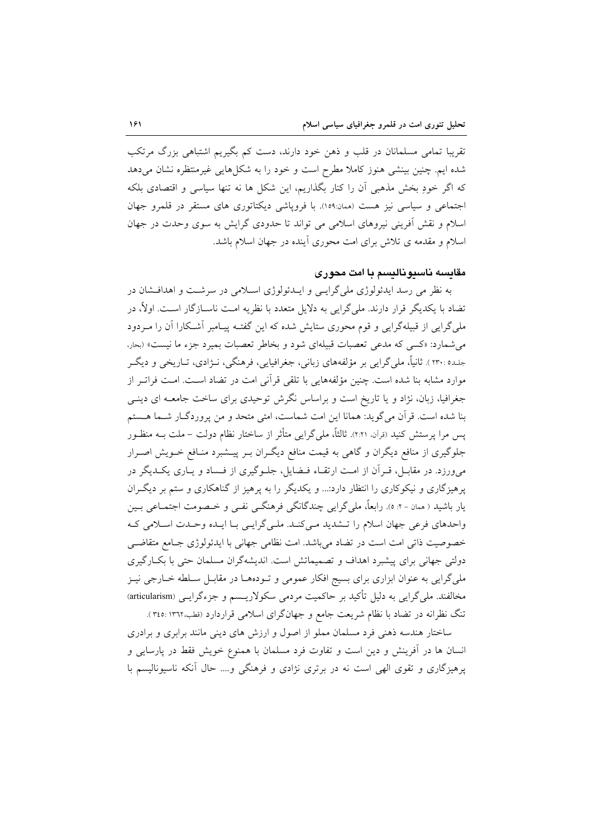تقریبا تمامی مسلمانان در قلب و ذهن خود دارند، دست کم بگیریم اشتباهی بزرگ مرتکب شده ایم. چنین بینشی هنوز کاملا مطرح است و خود را به شکلهایی غیرمنتظره نشان میدهد که اگر خودِ بخش مذهبی آن را کنار بگذاریم، این شکل ها نه تنها سیاسی و اقتصادی بلکه اجتماعی و سیاسی نیز هست (همان:١٥٩). با فروپاشی دیکتاتوری های مستقر در قلمرو جهان اسلام و نقش آفرینی نیروهای اسلامی می تواند تا حدودی گرایش به سوی وحدت در جهان اسلام و مقدمه ی تلاش برای امت محوری آینده در جهان اسلام باشد.

# مقايسه ناسيوناليسم با امت محوري

به نظر می رسد ایدئولوژی ملی گرایسی و ایـدئولوژی اسـلامی در سرشـت و اهدافـشان در تضاد با یکدیگر قرار دارند. ملیگرایی به دلایل متعدد با نظریه امت ناسـازگار اسـت. اولاً، در ملی گرایی از قبیلهگرایی و قوم محوری ستایش شده که این گفتـه پیـامبر آشـکارا آن را مـردود می شمارد: «کسی که مدعی تعصبات قبیلهای شود و بخاطر تعصبات بمیرد جزء ما نیست» (بحار، جلده :۲۳۰ ). ثانیاً، ملی گرایی بر مؤلفههای زبانی، جغرافیایی، فرهنگی، نـژادی، تـاریخی و دیگـر موارد مشابه بنا شده است. چنین مؤلفههایی با تلقی قرآنی امت در تضاد اسـت. امـت فراتـر از جغرافیا، زبان، نژاد و یا تاریخ است و براساس نگرش توحیدی برای ساخت جامعـه ای دینـی بنا شده است. قرآن می گوید: همانا این امت شماست، امتی متحد و من پروردگـار شـما هـستم یس مرا پرستش کنید (نرآن، ۲:۲۱). ثالثاً، ملیگرایی متأثر از ساختار نظام دولت – ملت بــه منظـور جلوگیری از منافع دیگران و گاهی به قیمت منافع دیگـران بـر پیــشبرد منــافع خــویش اصــرار می,ورزد. در مقابـل، قـرأن از امـت ارتقـاء فـضایل، جلـوگیری از فـساد و یــاری یکــدیگر در پرهیزگاری و نیکوکاری را انتظار دارد:... و یکدیگر را به پرهیز از گناهکاری و ستم بر دیگران يار باشيد ( همان - ۲: ٥). رابعاً، ملي گرايي چندگانگي فرهنگـي نفـي و خـصومت اجتمــاعي بـين واحدهای فرعی جهان اسلام را تـشدید مـیکنـد. ملـیگرایـی بـا ایـده وحـدت اسـلامی کـه خصوصیت ذاتی امت است در تضاد میباشد. امت نظامی جهانی با ایدئولوژی جـامع متقاضـی دولتي جهاني براي پيشبرد اهداف و تصميماتش است. انديشهگران مسلمان حتى با بكــارگيري ملی گرایی به عنوان ابزاری برای بسیج افکار عمومی و تـودههـا در مقابـل سـلطه خــارجی نیــز مخالفند. ملی گرایی به دلیل تأکید بر حاکمیت مردمی سکولاریـسم و جزءگرایـی (articularism) تنگ نظرانه در تضاد با نظام شریعت جامع و جهانگرای اسلامی قراردارد (قطب،١٣٦٢: ٣٤٥).

ساختار هندسه ذهنی فرد مسلمان مملو از اصول و ارزش های دینی مانند برابری و برادری انسان ها در آفرینش و دین است و تفاوت فرد مسلمان با همنوع خویش فقط در پارسایی و پرهیزگاری و تقوی الهی است نه در برتری نژادی و فرهنگی و.... حال آنکه ناسیونالیسم با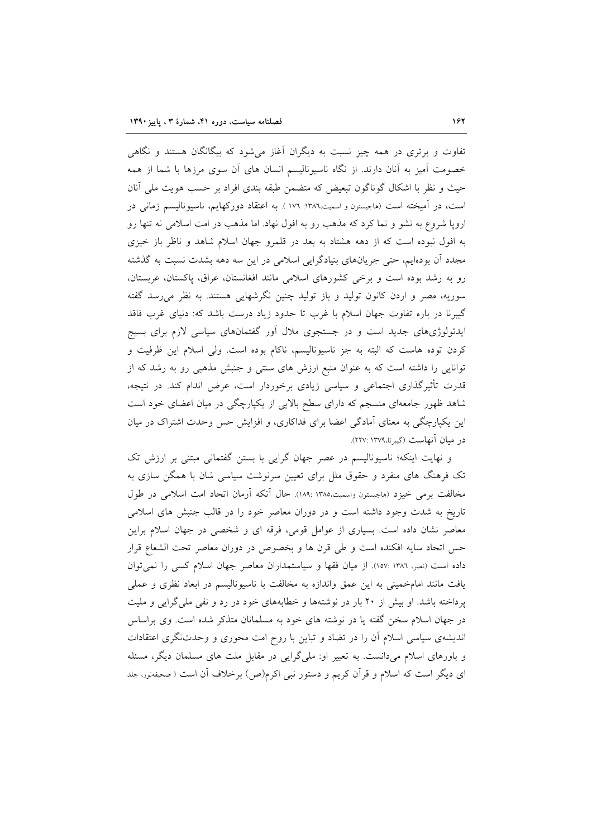تفاوت و برتری در همه چیز نسبت به دیگران آغاز میشود که بیگانگان هستند و نگاهی خصومت آمیز به آنان دارند. از نگاه ناسیونالیسم انسان های آن سوی مرزها با شما از همه حیث و نظر با اشکال گوناگون تبعیض که متضمن طبقه بندی افراد بر حسب هویت ملی أنان است، در آمیخته است (هاجیستون و اسمیت،۱۳۸٦: ۱۷٦). به اعتقاد دورکهایم، ناسیونالیسم زمانی در اروپا شروع به نشو و نما کرد که مذهب رو به افول نهاد. اما مذهب در امت اسلامی نه تنها رو به افول نبوده است که از دهه هشتاد به بعد در قلمرو جهان اسلام شاهد و ناظر باز خیزی مجدد آن بودهایم، حتی جریانهای بنیادگرایی اسلامی در این سه دهه بشدت نسبت به گذشته رو به رشد بوده است و برخی کشورهای اسلامی مانند افغانستان، عراق، پاکستان، عربستان، سوریه، مصر و اردن کانون تولید و باز تولید چنین نگرشهایی هستند. به نظر می رسد گفته گیبرنا در باره تفاوت جهان اسلام با غرب تا حدود زیاد درست باشد که: دنیای غرب فاقد ایدئولوژیهای جدید است و در جستجوی ملال اَور گفتمانهای سیاسی لازم برای بسیج کردن توده هاست که البته به جز ناسیونالیسم، ناکام بوده است. ولی اسلام این ظرفیت و توانایی را داشته است که به عنوان منبع ارزش های سنتی و جنبش مذهبی رو به رشد که از قدرت تأثیرگذاری اجتماعی و سیاسی زیادی برخوردار است، عرض اندام کند. در نتیجه، شاهد ظهور جامعهای منسجم که دارای سطح بالایی از یکپارچگی در میان اعضای خود است این یکپارچگی به معنای آمادگی اعضا برای فداکاری، و افزایش حس وحدت اشتراک در میان در ميان آنهاست (گيبرنا،١٣٧٩ :٢٢٧).

و نهایت اینکه؛ ناسیونالیسم در عصر جهان گرایی با بستن گفتمانی مبتنی بر ارزش تک تک فرهنگ های منفرد و حقوق ملل برای تعیین سرنوشت سیاسی شان با همگن سازی به مخالفت برمی خیزد (هاجیستون واسمیت،۱۳۸۵ :۱۸۹). حال آنکه آرمان اتحاد امت اسلامی در طول تاریخ به شدت وجود داشته است و در دوران معاصر خود را در قالب جنبش های اسلامی معاصر نشان داده است. بسیاری از عوامل قومی، فرقه ای و شخصی در جهان اسلام براین حس اتحاد سایه افکنده است و طی قرن ها و بخصوص در دوران معاصر تحت الشعاع قرار داده است (نصر، ١٣٨٦ :١٥٧). از ميان فقها و سياستمداران معاصر جهان اسلام كسى را نمى توان يافت مانند امامخميني به اين عمق واندازه به مخالفت با ناسيوناليسم در ابعاد نظري و عملي پرداخته باشد. او بیش از ۲۰ بار در نوشتهها و خطابههای خود در رد و نفی ملی گرایی و ملیت در جهان اسلام سخن گفته یا در نوشته های خود به مسلمانان متذکر شده است. وی براساس اندیشهی سیاسی اسلام آن را در تضاد و تباین با روح امت محوری و وحدتنگری اعتقادات و باورهای اسلام میدانست. به تعبیر او: ملیگرایی در مقابل ملت های مسلمان دیگر، مسئله ای دیگر است که اسلام و قرآن کریم و دستور نبی اکرم(ص) برخلاف آن است ( صحیفهنور، جلد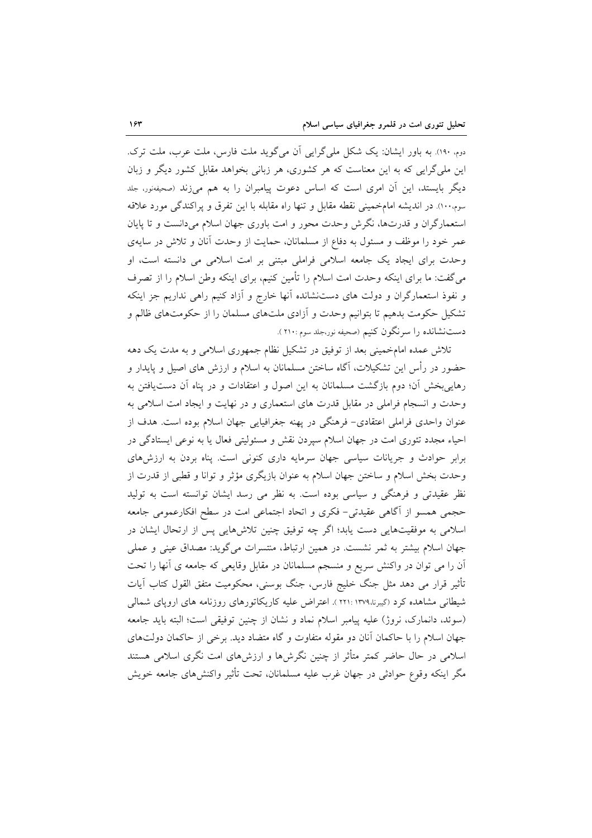دوم. ۱۹۰). به باور ایشان: یک شکل ملیگرایی اَن میگوید ملت فارس، ملت عرب، ملت ترک. این ملی گرایی که به این معناست که هر کشوری، هر زبانی بخواهد مقابل کشور دیگر و زبان دیگر بایستد، این آن امری است که اساس دعوت پیامبران را به هم میزند (صحیفهنور، جلد سوم ١٠٠). در انديشه امامخميني نقطه مقابل وتنها راه مقابله با اين تفرق و پراكندگي مورد علاقه استعمارگران و قدرتها، نگرش وحدت محور و امت باوری جهان اسلام میدانست و تا پایان عمر خود را موظف و مسئول به دفاع از مسلمانان، حمایت از وحدت آنان و تلاش در سایهی وحدت برای ایجاد یک جامعه اسلامی فراملی مبتنی بر امت اسلامی می دانسته است، او می گفت: ما برای اینکه وحدت امت اسلام را تأمین کنیم، برای اینکه وطن اسلام را از تصرف و نفوذ استعمارگران و دولت های دستنشانده آنها خارج و آزاد کنیم راهی نداریم جز اینکه تشکیل حکومت بدهیم تا بتوانیم وحدت و آزادی ملتهای مسلمان را از حکومتهای ظالم و دست نشانده را سرنگون کنیم (صحیفه نور،جلد سوم :۲۱۰).

تلاش عمده امامخمینی بعد از توفیق در تشکیل نظام جمهوری اسلامی و به مدت یک دهه حضور در رأس این تشکیلات، آگاه ساختن مسلمانان به اسلام و ارزش های اصیل و پایدار و رهاییبخش آن؛ دوم بازگشت مسلمانان به این اصول و اعتقادات و در پناه آن دست یافتن به وحدت و انسجام فراملی در مقابل قدرت های استعماری و در نهایت و ایجاد امت اسلامی به عنوان واحدی فراملی اعتقادی- فرهنگی در پهنه جغرافیایی جهان اسلام بوده است. هدف از احیاء مجدد تئوری امت در جهان اسلام سپردن نقش و مسئولیتی فعال یا به نوعی ایستادگی در برابر حوادث و جریانات سیاسی جهان سرمایه داری کنونی است. پناه بردن به ارزشهای وحدت بخش اسلام و ساختن جهان اسلام به عنوان بازیگری مؤثر و توانا و قطبی از قدرت از نظر عقیدتی و فرهنگی و سیاسی بوده است. به نظر می رسد ایشان توانسته است به تولید حجمی همسو از آگاهی عقیدتی- فکری و اتحاد اجتماعی امت در سطح افکارعمومی جامعه اسلامی به موفقیتهایی دست یابد؛ اگر چه توفیق چنین تلاشهایی پس از ارتحال ایشان در جهان اسلام بیشتر به ثمر نشست. در همین ارتباط، منتسرات می گوید: مصداق عینی و عملی اّن را می توان در واکنش سریع و منسجم مسلمانان در مقابل وقایعی که جامعه ی اّنها را تحت تأثیر قرار می دهد مثل جنگ خلیج فارس، جنگ بوسنی، محکومیت متفق القول کتاب آیات شیطانی مشاهده کرد (گیبرنا،۱۳۷۹ :۲۲۱ ). اعتراض علیه کاریکاتورهای روزنامه های اروپای شمالی (سوئد، دانمارک، نروژ) علیه پیامبر اسلام نماد و نشان از چنین توفیقی است؛ البته باید جامعه جهان اسلام را با حاکمان آنان دو مقوله متفاوت و گاه متضاد دید. برخی از حاکمان دولتهای اسلامی در حال حاضر کمتر متأثر از چنین نگرش۵ا و ارزش۵ای امت نگری اسلامی هستند مگر اینکه وقوع حوادثی در جهان غرب علیه مسلمانان، تحت تأثیر واکنشهای جامعه خویش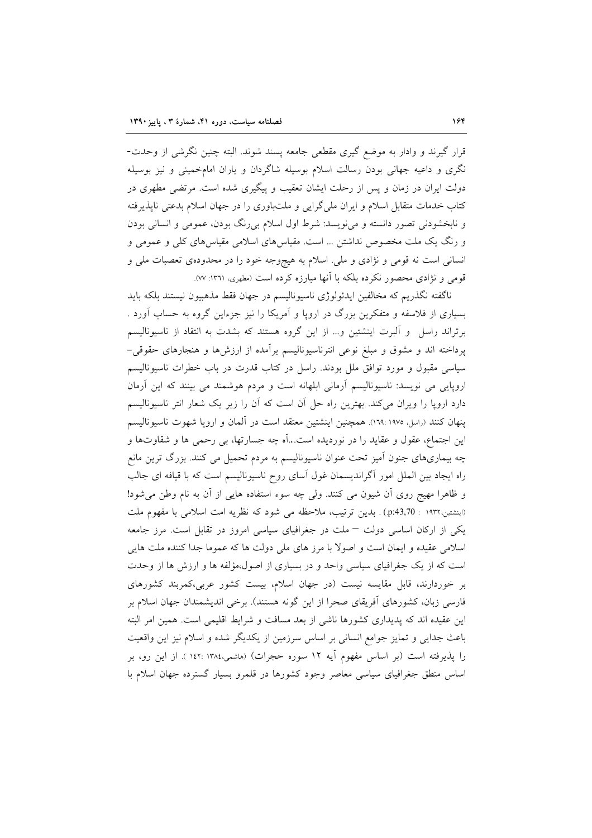قرار گیرند و وادار به موضع گیری مقطعی جامعه پسند شوند. البته چنین نگرشی از وحدت-نگری و داعیه جهانی بودن رسالت اسلام بوسیله شاگردان و یاران امامخمینی و نیز بوسیله دولت ایران در زمان و پس از رحلت ایشان تعقیب و پیگیری شده است. مرتضی مطهری در کتاب خدمات متقابل اسلام و ایران ملی گرایی و ملتباوری را در جهان اسلام بدعتی ناپذیرفته و نابخشودنی تصور دانسته و می نویسد: شرط اول اسلام بی رنگ بودن، عمومی و انسانی بودن و رنگ یک ملت مخصوص نداشتن … است. مقیاسهای اسلامی مقیاسهای کلی و عمومی و انسانی است نه قومی و نژادی و ملی. اسلام به هیچوجه خود را در محدودهی تعصبات ملی و قومی و نژادی محصور نکرده بلکه با آنها مبارزه کرده است (مطهری، ۱۳٦۱: ۷۷).

ناگفته نگذریم که مخالفین ایدئولوژی ناسیونالیسم در جهان فقط مذهبیون نیستند بلکه باید بسیاری از فلاسفه و متفکرین بزرگ در اروپا و آمریکا را نیز جزءاین گروه به حساب آورد . برتراند راسل ً و البرت اینشتین و… از این گروه هستند که بشدت به انتقاد از ناسیونالیسم پرداخته اند و مشوق و مبلغ نوعی انترناسیونالیسم برأمده از ارزشها و هنجارهای حقوقی– سیاسی مقبول و مورد توافق ملل بودند. راسل در کتاب قدرت در باب خطرات ناسیونالیسم اروپایی می نویسد: ناسیونالیسم آرمانی ابلهانه است و مردم هوشمند می بینند که این آرمان دارد اروپا را ویران میکند. بهترین راه حل آن است که آن را زیر یک شعار انتر ناسیونالیسم ينهان كنند (راسل، ١٩٧٥ :١٦٩). همچنين اينشتين معتقد است در آلمان و اروپا شهوت ناسيوناليسم این اجتماع، عقول و عقاید را در نوردیده است…آه چه جسارتها، بی رحمی ها و شقاوتها و چه بیماریهای جنون اَمیز تحت عنوان ناسیونالیسم به مردم تحمیل می کنند. بزرگ ترین مانع راه ایجاد بین الملل امور آگراندیسمان غول آسای روح ناسیونالیسم است که با قیافه ای جالب و ظاهرا مهیج روی آن شیون می کنند. ولی چه سوء استفاده هایی از آن به نام وطن می شود! (اينشتين،١٩٣٢ : p:43,70) . بدين ترتيب، ملاحظه مي شود كه نظريه امت اسلامي با مفهوم ملت یکی از ارکان اساسی دولت – ملت در جغرافیای سیاسی امروز در تقابل است. مرز جامعه اسلامی عقیده و ایمان است و اصولاً با مرز های ملی دولت ها که عموما جدا کننده ملت هایی است که از یک جغرافیای سیاسی واحد و در بسیاری از اصول،مؤلفه ها و ارزش ها از وحدت بر خوردارند، قابل مقایسه نیست (در جهان اسلام، بیست کشور عربی،کمربند کشورهای فارسی زبان، کشورهای اَفریقای صحرا از این گونه هستند). برخی اندیشمندان جهان اسلام بر این عقیده اند که پدیداری کشورها ناشی از بعد مسافت و شرایط اقلیمی است. همین امر البته باعث جدایی و تمایز جوامع انسانی بر اساس سرزمین از یکدیگر شده و اسلام نیز این واقعیت را پذیرفته است (بر اساس مفهوم آیه ۱۲ سوره حجرات) (هاشمی،۱۳۸٤ :۱٤۲ ). از این رو، بر اساس منطق جغرافیای سیاسی معاصر وجود کشورها در قلمرو بسیار گسترده جهان اسلام با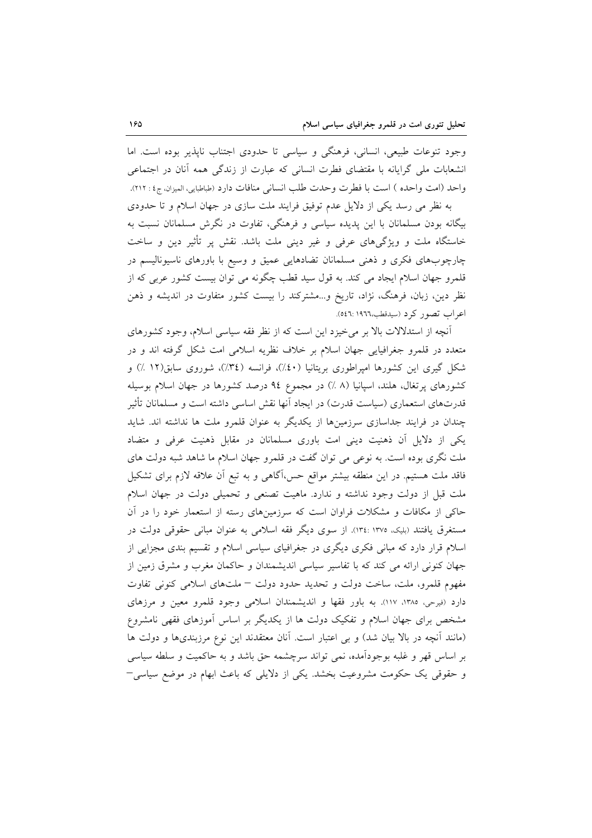وجود تنوعات طبیعی، انسانی، فرهنگی و سیاسی تا حدودی اجتناب ناپذیر بوده است. اما انشعابات ملی گرایانه با مقتضای فطرت انسانی که عبارت از زندگی همه آنان در اجتماعی واحد (امت واحده ) است با فطرت وحدت طلب انساني منافات دارد (طباطبايي، الميزان، ج٤ : ٢١٢).

به نظر می رسد یکی از دلایل عدم توفیق فرایند ملت سازی در جهان اسلام و تا حدودی بیگانه بودن مسلمانان با این پدیده سیاسی و فرهنگی، تفاوت در نگرش مسلمانان نسبت به خاستگاه ملت و ویژگیهای عرفی و غیر دینی ملت باشد. نقش پر تأثیر دین و ساخت چارچوبهای فکری و ذهنی مسلمانان تضادهایی عمیق و وسیع با باورهای ناسیونالیسم در قلمرو جهان اسلام ایجاد می کند. به قول سید قطب چگونه می توان بیست کشور عربی که از نظر دین، زبان، فرهنگ، نژاد، تاریخ و…مشترکند را بیست کشور متفاوت در اندیشه و ذهن اعراب تصور کرد (سیدقطب،١٩٦٦: ٥٤٦).

آنچه از استدلالات بالا بر می خیزد این است که از نظر فقه سیاسی اسلام، وجود کشورهای متعدد در قلمرو جغرافیایی جهان اسلام بر خلاف نظریه اسلامی امت شکل گرفته اند و در شکل گیری این کشورها امپراطوری بریتانیا (٤٠٪)، فرانسه (٣٤٪)، شوروی سابق(١٢ ٪) و کشورهای پرتغال، هلند، اسپانیا (۸ ٪) در مجموع ۹٤ درصد کشورها در جهان اسلام بوسیله قدرتهای استعماری (سیاست قدرت) در ایجاد اَنها نقش اساسی داشته است و مسلمانان تأثیر چندان در فرایند جداسازی سرزمینها از یکدیگر به عنوان قلمرو ملت ها نداشته اند. شاید یکی از دلایل آن ذهنیت دینی امت باوری مسلمانان در مقابل ذهنیت عرفی و متضاد ملت نگری بوده است. به نوعی می توان گفت در قلمرو جهان اسلام ما شاهد شبه دولت های فاقد ملت هستیم. در این منطقه بیشتر مواقع حس،آگاهی و به تبع اَن علاقه لازم برای تشکیل ملت قبل از دولت وجود نداشته و ندارد. ماهيت تصنعي و تحميلي دولت در جهان اسلام حاکی از مکافات و مشکلات فراوان است که سرزمینهای رسته از استعمار خود را در آن مستغرق یافتند (بلیک، ۱۳۷۵: ۱۳٤:). از سوی دیگر فقه اسلامی به عنوان مبانی حقوقی دولت در اسلام قرار دارد که مبانی فکری دیگری در جغرافیای سیاسی اسلام و تقسیم بندی مجزایی از جهان کنونی ارائه می کند که با تفاسیر سیاسی اندیشمندان و حاکمان مغرب و مشرق زمین از مفهوم قلمرو، ملت، ساخت دولت و تحديد حدود دولت – ملتهاى اسلامي كنوني تفاوت دارد (فیرحی، ۱۳۸۵، ۱۱۷). به باور فقها و اندیشمندان اسلامی وجود قلمرو معین و مرزهای مشخص برای جهان اسلام و تفکیک دولت ها از یکدیگر بر اساس آموزهای فقهی نامشروع (مانند آنچه در بالا بیان شد) و بی اعتبار است. آنان معتقدند این نوع مرزبندیها و دولت ها بر اساس قهر و غلبه بوجودآمده، نمی تواند سرچشمه حق باشد و به حاکمیت و سلطه سیاسی و حقوقی یک حکومت مشروعیت بخشد. یکی از دلایلی که باعث ابهام در موضع سیاسی–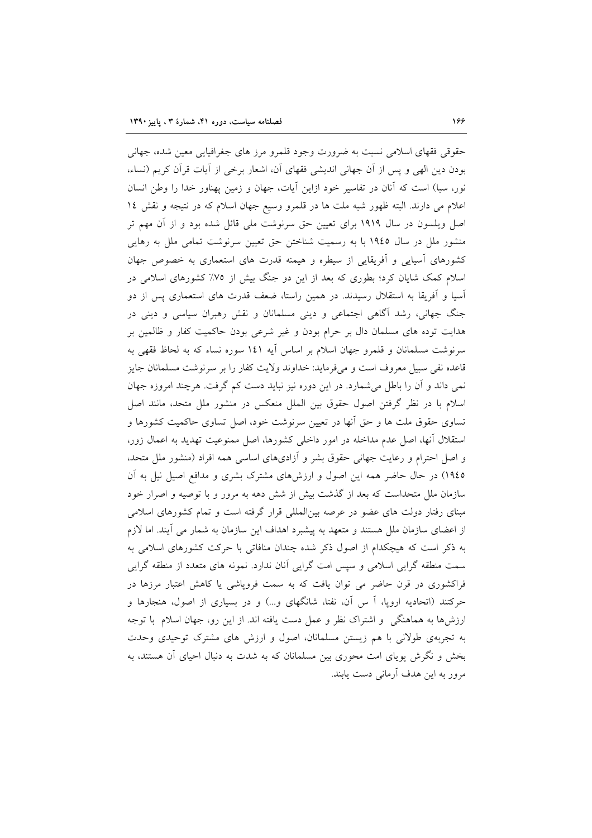حقوقی فقهای اسلامی نسبت به ضرورت وجود قلمرو مرز های جغرافیایی معین شده، جهانی بودن دین الھی و پس از آن جھانی اندیشی فقھای آن، اشعار برخی از اّیات قرآن کریم (نساء، نور، سبا) است که أنان در تفاسیر خود ازاین أیات، جهان و زمین پهناور خدا را وطن انسان اعلام می دارند. البته ظهور شبه ملت ها در قلمرو وسیع جهان اسلام که در نتیجه و نقش ١٤ اصل ویلسون در سال ۱۹۱۹ برای تعیین حق سرنوشت ملی قائل شده بود و از آن مهم تر منشور ملل در سال ۱۹٤٥ با به رسمیت شناختن حق تعیین سرنوشت تمامی ملل به رهایی کشورهای اسپایی و اَفریقایی از سیطره و هیمنه قدرت های استعماری به خصوص جهان اسلام کمک شایان کرد؛ بطوری که بعد از این دو جنگ بیش از ۷۵٪ کشورهای اسلامی در آسیا و اَفریقا به استقلال رسیدند. در همین راستا، ضعف قدرت های استعماری پس از دو جنگ جهانی، رشد آگاهی اجتماعی و دینی مسلمانان و نقش رهبران سیاسی و دینی در هدایت توده های مسلمان دال بر حرام بودن و غیر شرعی بودن حاکمیت کفار و ظالمین بر سرنوشت مسلمانان و قلمرو جهان اسلام بر اساس أيه ١٤١ سوره نساء كه به لحاظ فقهي به قاعده نفی سبیل معروف است و میفرماید: خداوند ولایت کفار را بر سرنوشت مسلمانان جایز نمی داند و آن را باطل می شمارد. در این دوره نیز نباید دست کم گرفت. هرچند امروزه جهان اسلام با در نظر گرفتن اصول حقوق بین الملل منعکس در منشور ملل متحد، مانند اصل تساوی حقوق ملت ها و حق آنها در تعیین سرنوشت خود، اصل تساوی حاکمیت کشورها و استقلال أنها، اصل عدم مداخله در امور داخلی کشورها، اصل ممنوعیت تهدید به اعمال زور، و اصل احترام و رعایت جهانی حقوق بشر و آزادیهای اساسی همه افراد (منشور ملل متحد. ١٩٤٥) در حال حاضر همه اين اصول و ارزشهاى مشترك بشرى و مدافع اصيل نيل به آن سازمان ملل متحداست که بعد از گذشت بیش از شش دهه به مرور و با توصیه و اصرار خود مبنای رفتار دولت های عضو در عرصه بینالمللی قرار گرفته است و تمام کشورهای اسلامی از اعضای سازمان ملل هستند و متعهد به پیشبرد اهداف این سازمان به شمار می آیند. اما لازم به ذکر است که هیچکدام از اصول ذکر شده چندان منافاتی با حرکت کشورهای اسلامی به سمت منطقه گرایی اسلامی و سپس امت گرایی آنان ندارد. نمونه های متعدد از منطقه گرایی فراکشوری در قرن حاضر می توان یافت که به سمت فرویاشی یا کاهش اعتبار مرزها در حرکتند (اتحادیه اروپا، اَ س اَن، نفتا، شانگهای و…) و در بسیاری از اصول، هنجارها و ارزشها به هماهنگی و اشتراک نظر و عمل دست یافته اند. از این رو، جهان اسلام با توجه به تجربهی طولانی با هم زیستن مسلمانان، اصول و ارزش های مشترک توحیدی وحدت بخش و نگرش پویای امت محوری بین مسلمانان که به شدت به دنبال احیای أن هستند، به مرور به این هدف آرمانی دست پابند.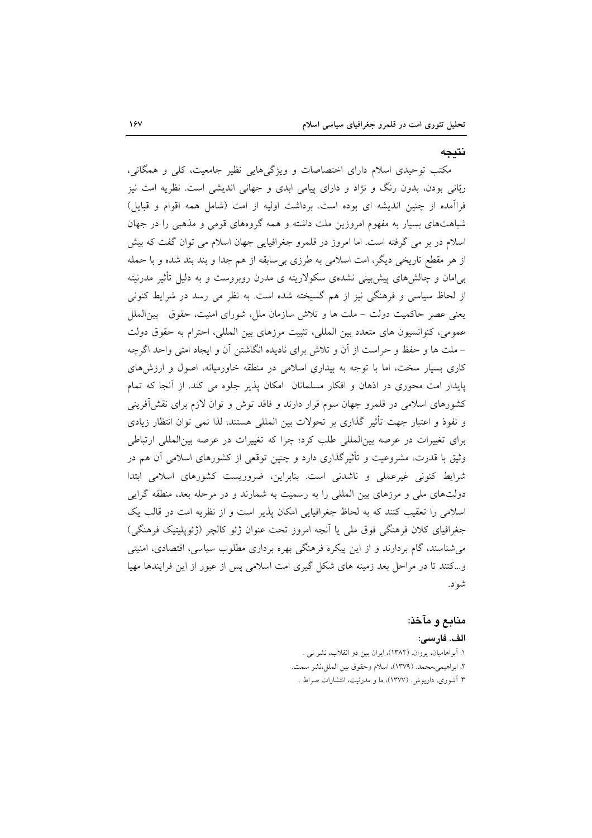نتىجە

مکتب توحیدی اسلام دارای اختصاصات و ویژگیهایی نظیر جامعیت، کلی و همگانی، ربّانی بودن، بدون رنگ و نژاد و دارای پیامی ابدی و جهانی اندیشی است. نظریه امت نیز فراآمده از چنین اندیشه ای بوده است. برداشت اولیه از امت (شامل همه اقوام و قبایل) شباهتهای بسیار به مفهوم امروزین ملت داشته و همه گروههای قومی و مذهبی را در جهان اسلام در بر می گرفته است. اما امروز در قلمرو جغرافیایی جهان اسلام می توان گفت که بیش از هر مقطع تاریخی دیگر، امت اسلامی به طرزی بی سابقه از هم جدا و بند بند شده و با حمله بےامان و چالش های پیش بینی نشدهی سکولاریته ی مدرن روبروست و به دلیل تأثیر مدرنیته از لحاظ سیاسی و فرهنگی نیز از هم گسیخته شده است. به نظر می رسد در شرایط کنونی يعني عصر حاكميت دولت – ملت ها و تلاش سازمان ملل، شوراي امنيت، حقوق بين|لملل عمومي، كنوانسيون هاي متعدد بين المللي، تثبيت مرزهاي بين المللي، احترام به حقوق دولت – ملت ها و حفظ و حراست از آن و تلاش برای نادیده انگاشتن آن و ایجاد امتی واحد اگرچه کاری بسیار سخت، اما با توجه به بیداری اسلامی در منطقه خاورمیانه، اصول و ارزشهای پایدار امت محوری در اذهان و افکار مسلمانان امکان پذیر جلوه می کند. از آنجا که تمام کشورهای اسلامی در قلمرو جهان سوم قرار دارند و فاقد توش و توان لازم برای نقش[فرینی و نفوذ و اعتبار جهت تأثیر گذاری بر تحولات بین المللی هستند، لذا نمی توان انتظار زیادی برای تغییرات در عرصه بینالمللی طلب کرد؛ چرا که تغییرات در عرصه بینالمللی ارتباطی وثیق با قدرت، مشروعیت و تأثیرگذاری دارد و چنین توقعی از کشورهای اسلامی آن هم در شرایط کنونی غیرعملی و ناشدنی است. بنابراین، ضروریست کشورهای اسلامی ابتدا دولتهای ملی و مرزهای بین المللی را به رسمیت به شمارند و در مرحله بعد، منطقه گرایی اسلامی را تعقیب کنند که به لحاظ جغرافیایی امکان پذیر است و از نظریه امت در قالب یک جغرافیای کلان فرهنگی فوق ملی یا انچه امروز تحت عنوان ژئو کالچر (ژئوپلیتیک فرهنگی) می شناسند، گام بردارند و از این پیکره فرهنگی بهره برداری مطلوب سیاسی، اقتصادی، امنیتی و…کنند تا در مراحل بعد زمینه های شکل گیری امت اسلامی پس از عبور از این فرایندها مهیا شود.

#### منابع و مآخذ:

الف. فارسي:

١. أبراهاميان، يروان. (١٣٨٢)، ايران بين دو انقلاب، نشر نبي . ٢. ابراهيمي،محمد. (١٣٧٩)، اسلام وحقوق بين الملل،نشر سمت. ۳. آشوری، داریوش. (۱۳۷۷)، ما و مدرنیت، انتشارات صراط .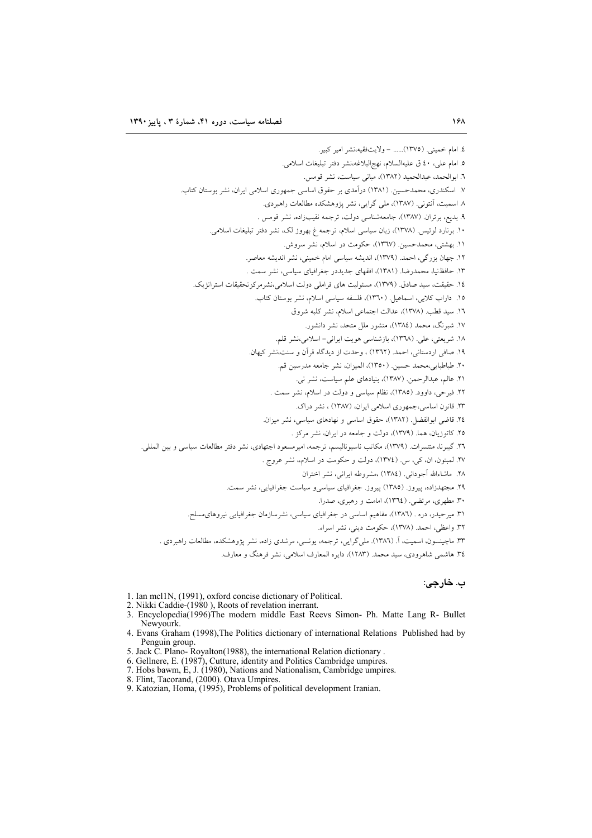# ب. خارجي:

- 1. Ian mc11N, (1991), oxford concise dictionary of Political.<br>2. Nikki Caddie-(1980), Roots of revelation inerrant.
- 
- 3. Encyclopedia(1996)The modern middle East Reevs Simon- Ph. Matte Lang R- Bullet Newyourk.
- 4. Evans Graham (1998), The Politics dictionary of international Relations Published had by Penguin group.<br>5. Jack C. Plano-Royalton(1988), the international Relation dictionary<br>6. Gellnere, E. (1987), Cutture, identity and Politics Cambridge umpires.
- 
- 
- 1. Hobs bawm, E. J. (1980), Nations and Nationalism, Cambridge unpires.<br>
7. Hobs bawm, E. J. (1980), Nations and Nationalism, Cambridge umpires.<br>
8. Flint, Tacorand, (2000). Otava Umpires.<br>
9. Katozian, Homa, (1995), Probl
- 
-